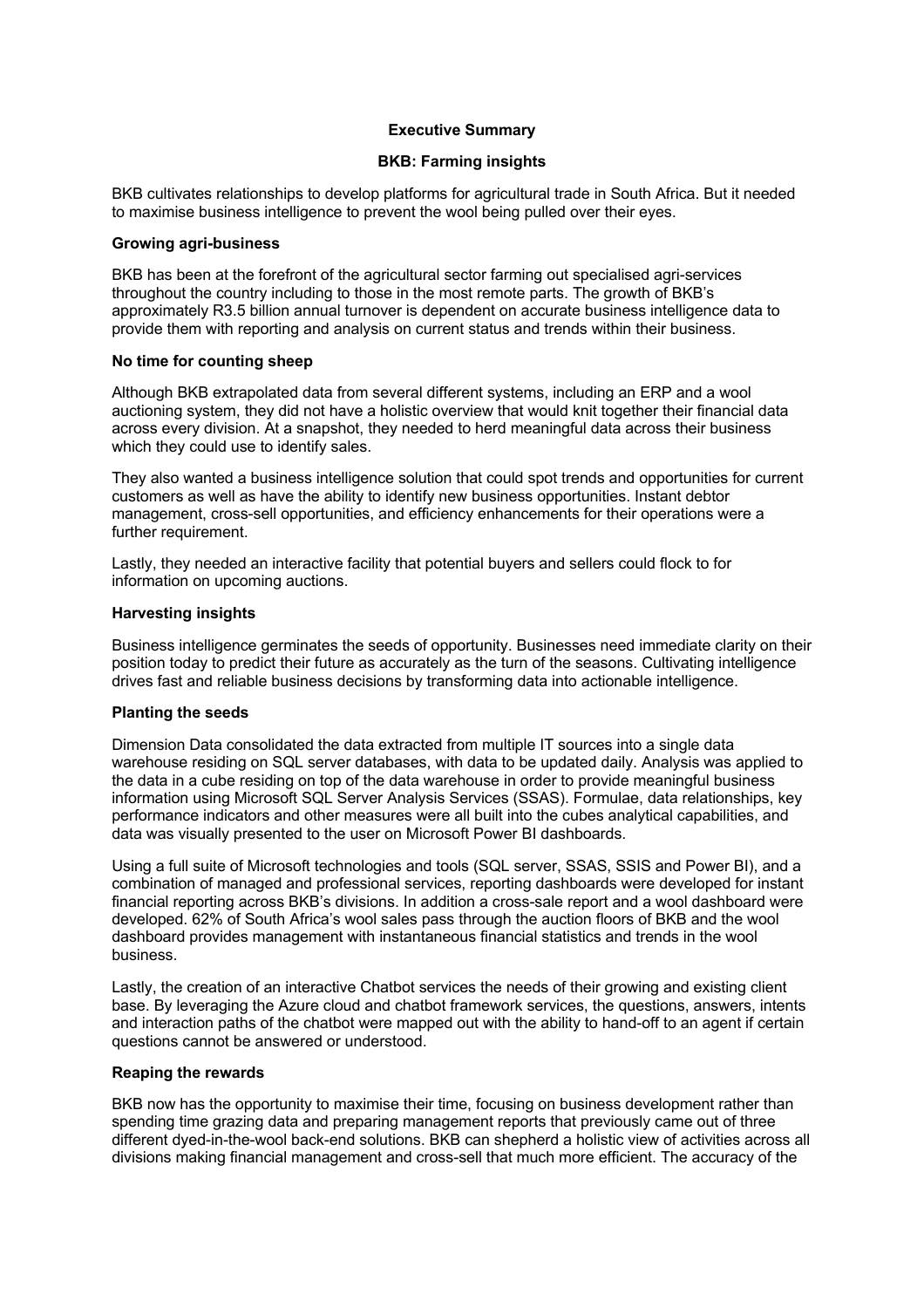## **Executive Summary**

# **BKB: Farming insights**

BKB cultivates relationships to develop platforms for agricultural trade in South Africa. But it needed to maximise business intelligence to prevent the wool being pulled over their eyes.

#### **Growing agri-business**

BKB has been at the forefront of the agricultural sector farming out specialised agri-services throughout the country including to those in the most remote parts. The growth of BKB's approximately R3.5 billion annual turnover is dependent on accurate business intelligence data to provide them with reporting and analysis on current status and trends within their business.

### **No time for counting sheep**

Although BKB extrapolated data from several different systems, including an ERP and a wool auctioning system, they did not have a holistic overview that would knit together their financial data across every division. At a snapshot, they needed to herd meaningful data across their business which they could use to identify sales.

They also wanted a business intelligence solution that could spot trends and opportunities for current customers as well as have the ability to identify new business opportunities. Instant debtor management, cross-sell opportunities, and efficiency enhancements for their operations were a further requirement.

Lastly, they needed an interactive facility that potential buyers and sellers could flock to for information on upcoming auctions.

### **Harvesting insights**

Business intelligence germinates the seeds of opportunity. Businesses need immediate clarity on their position today to predict their future as accurately as the turn of the seasons. Cultivating intelligence drives fast and reliable business decisions by transforming data into actionable intelligence.

### **Planting the seeds**

Dimension Data consolidated the data extracted from multiple IT sources into a single data warehouse residing on SQL server databases, with data to be updated daily. Analysis was applied to the data in a cube residing on top of the data warehouse in order to provide meaningful business information using Microsoft SQL Server Analysis Services (SSAS). Formulae, data relationships, key performance indicators and other measures were all built into the cubes analytical capabilities, and data was visually presented to the user on Microsoft Power BI dashboards.

Using a full suite of Microsoft technologies and tools (SQL server, SSAS, SSIS and Power BI), and a combination of managed and professional services, reporting dashboards were developed for instant financial reporting across BKB's divisions. In addition a cross-sale report and a wool dashboard were developed. 62% of South Africa's wool sales pass through the auction floors of BKB and the wool dashboard provides management with instantaneous financial statistics and trends in the wool business.

Lastly, the creation of an interactive Chatbot services the needs of their growing and existing client base. By leveraging the Azure cloud and chatbot framework services, the questions, answers, intents and interaction paths of the chatbot were mapped out with the ability to hand-off to an agent if certain questions cannot be answered or understood.

### **Reaping the rewards**

BKB now has the opportunity to maximise their time, focusing on business development rather than spending time grazing data and preparing management reports that previously came out of three different dyed-in-the-wool back-end solutions. BKB can shepherd a holistic view of activities across all divisions making financial management and cross-sell that much more efficient. The accuracy of the